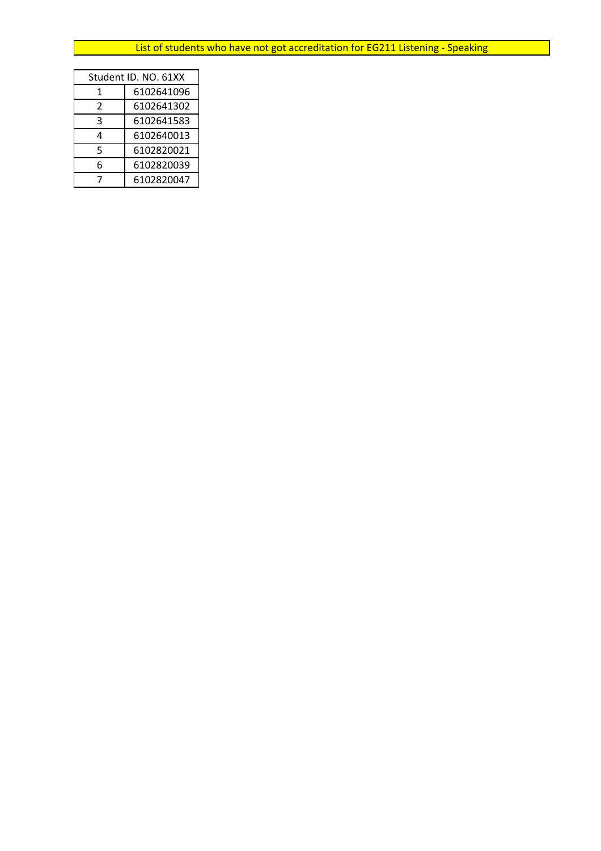| Student ID. NO. 61XX |            |  |
|----------------------|------------|--|
| 1                    | 6102641096 |  |
| C.                   | 6102641302 |  |
| 3                    | 6102641583 |  |
| 4                    | 6102640013 |  |
| 5                    | 6102820021 |  |
| 6                    | 6102820039 |  |
|                      | 6102820047 |  |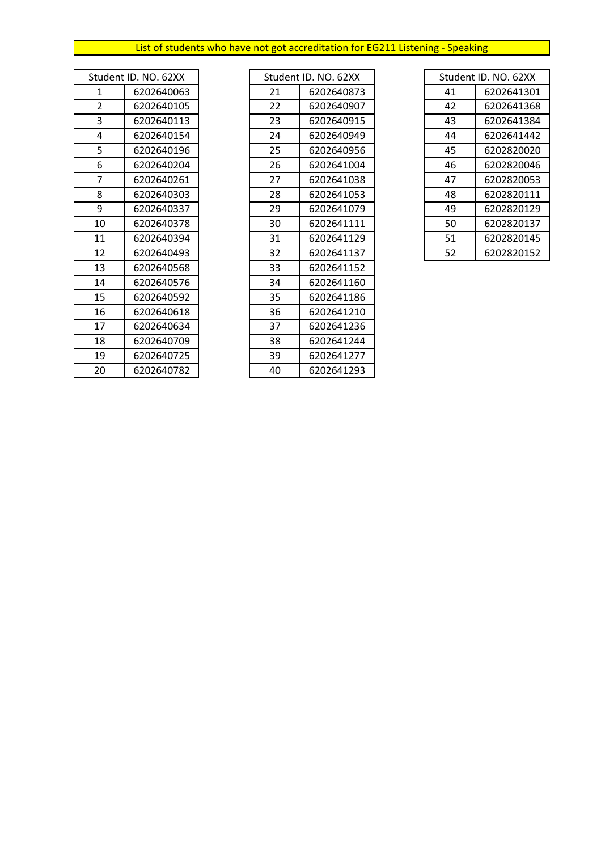| Student ID. NO. 62XX |            |  |
|----------------------|------------|--|
| 1                    | 6202640063 |  |
| $\overline{2}$       | 6202640105 |  |
| 3                    | 6202640113 |  |
| 4                    | 6202640154 |  |
| 5                    | 6202640196 |  |
| 6                    | 6202640204 |  |
| 7                    | 6202640261 |  |
| 8                    | 6202640303 |  |
| 9                    | 6202640337 |  |
| 10                   | 6202640378 |  |
| 11                   | 6202640394 |  |
| 12                   | 6202640493 |  |
| 13                   | 6202640568 |  |
| 14                   | 6202640576 |  |
| 15                   | 6202640592 |  |
| 16                   | 6202640618 |  |
| 17                   | 6202640634 |  |
| 18                   | 6202640709 |  |
| 19                   | 6202640725 |  |
| 20                   | 6202640782 |  |

|                | Student ID. NO. 62XX | Student ID. NO. 62XX |            | Student ID. NO. 62XX |            |
|----------------|----------------------|----------------------|------------|----------------------|------------|
| 1              | 6202640063           | 21                   | 6202640873 | 41                   | 6202641301 |
| $\overline{2}$ | 6202640105           | 22                   | 6202640907 | 42                   | 6202641368 |
| 3              | 6202640113           | 23                   | 6202640915 | 43                   | 6202641384 |
| 4              | 6202640154           | 24                   | 6202640949 | 44                   | 6202641442 |
| 5              | 6202640196           | 25                   | 6202640956 | 45                   | 6202820020 |
| 6              | 6202640204           | 26                   | 6202641004 | 46                   | 6202820046 |
| $\overline{7}$ | 6202640261           | 27                   | 6202641038 | 47                   | 6202820053 |
| 8              | 6202640303           | 28                   | 6202641053 | 48                   | 6202820111 |
| 9              | 6202640337           | 29                   | 6202641079 | 49                   | 6202820129 |
| 10             | 6202640378           | 30                   | 6202641111 | 50                   | 6202820137 |
| 11             | 6202640394           | 31                   | 6202641129 | 51                   | 6202820145 |
| 12             | 6202640493           | 32                   | 6202641137 | 52                   | 6202820152 |
| 13             | 6202640568           | 33                   | 6202641152 |                      |            |
| 14             | 6202640576           | 34                   | 6202641160 |                      |            |
| 15             | 6202640592           | 35                   | 6202641186 |                      |            |
| 16             | 6202640618           | 36                   | 6202641210 |                      |            |
| 17             | 6202640634           | 37                   | 6202641236 |                      |            |
| 18             | 6202640709           | 38                   | 6202641244 |                      |            |
| 19             | 6202640725           | 39                   | 6202641277 |                      |            |
| 20             | 6202640782           | 40                   | 6202641293 |                      |            |

| Student ID, NO, 62XX |            |  |
|----------------------|------------|--|
| 41                   | 6202641301 |  |
| 42                   | 6202641368 |  |
| 43                   | 6202641384 |  |
| 44                   | 6202641442 |  |
| 45                   | 6202820020 |  |
| 46                   | 6202820046 |  |
| 47                   | 6202820053 |  |
| 48                   | 6202820111 |  |
| 49                   | 6202820129 |  |
| 50                   | 6202820137 |  |
| 51                   | 6202820145 |  |
| 52                   | 6202820152 |  |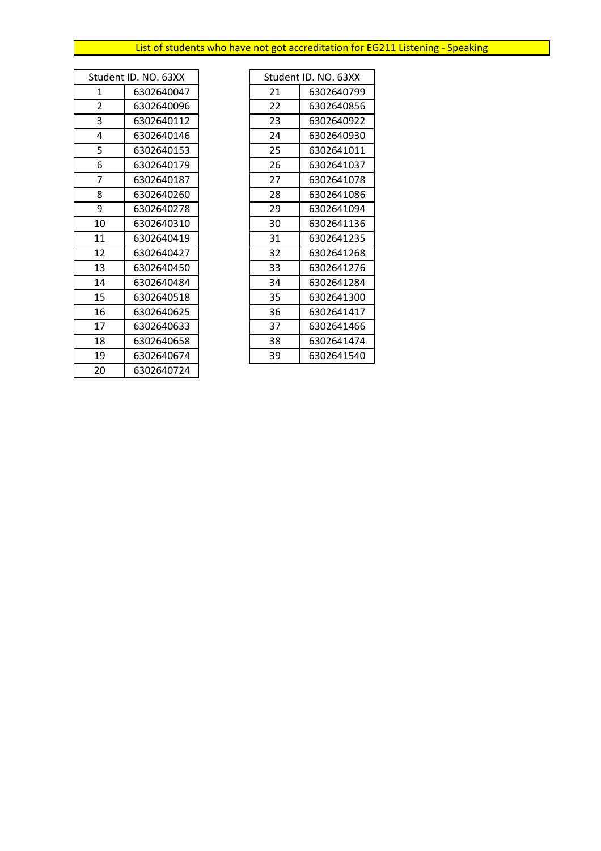|    | Student ID. NO. 63XX |
|----|----------------------|
| 1  | 6302640047           |
| 2  | 6302640096           |
| 3  | 6302640112           |
| 4  | 6302640146           |
| 5  | 6302640153           |
| 6  | 6302640179           |
| 7  | 6302640187           |
| 8  | 6302640260           |
| 9  | 6302640278           |
| 10 | 6302640310           |
| 11 | 6302640419           |
| 12 | 6302640427           |
| 13 | 6302640450           |
| 14 | 6302640484           |
| 15 | 6302640518           |
| 16 | 6302640625           |
| 17 | 6302640633           |
| 18 | 6302640658           |
| 19 | 6302640674           |
| 20 | 6302640724           |

| Student ID. NO. 63XX |            |    | Student ID. NO. 63XX |
|----------------------|------------|----|----------------------|
| 1                    | 6302640047 | 21 | 6302640799           |
| 2                    | 6302640096 | 22 | 6302640856           |
| 3                    | 6302640112 | 23 | 6302640922           |
| 4                    | 6302640146 | 24 | 6302640930           |
| 5                    | 6302640153 | 25 | 6302641011           |
| 6                    | 6302640179 | 26 | 6302641037           |
| 7                    | 6302640187 | 27 | 6302641078           |
| 8                    | 6302640260 | 28 | 6302641086           |
| 9                    | 6302640278 | 29 | 6302641094           |
| 10                   | 6302640310 | 30 | 6302641136           |
| 11                   | 6302640419 | 31 | 6302641235           |
| 12                   | 6302640427 | 32 | 6302641268           |
| 13                   | 6302640450 | 33 | 6302641276           |
| 14                   | 6302640484 | 34 | 6302641284           |
| 15                   | 6302640518 | 35 | 6302641300           |
| 16                   | 6302640625 | 36 | 6302641417           |
| 17                   | 6302640633 | 37 | 6302641466           |
| 18                   | 6302640658 | 38 | 6302641474           |
| 19                   | 6302640674 | 39 | 6302641540           |